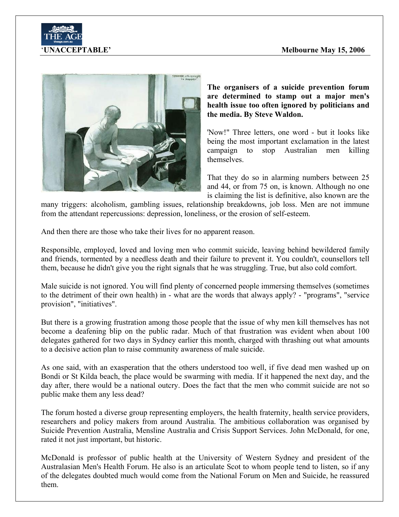



**The organisers of a suicide prevention forum are determined to stamp out a major men's health issue too often ignored by politicians and the media. By Steve Waldon.**

'Now!" Three letters, one word - but it looks like being the most important exclamation in the latest campaign to stop Australian men killing themselves.

That they do so in alarming numbers between 25 and 44, or from 75 on, is known. Although no one is claiming the list is definitive, also known are the

many triggers: alcoholism, gambling issues, relationship breakdowns, job loss. Men are not immune from the attendant repercussions: depression, loneliness, or the erosion of self-esteem.

And then there are those who take their lives for no apparent reason.

Responsible, employed, loved and loving men who commit suicide, leaving behind bewildered family and friends, tormented by a needless death and their failure to prevent it. You couldn't, counsellors tell them, because he didn't give you the right signals that he was struggling. True, but also cold comfort.

Male suicide is not ignored. You will find plenty of concerned people immersing themselves (sometimes to the detriment of their own health) in - what are the words that always apply? - "programs", "service provision", "initiatives".

But there is a growing frustration among those people that the issue of why men kill themselves has not become a deafening blip on the public radar. Much of that frustration was evident when about 100 delegates gathered for two days in Sydney earlier this month, charged with thrashing out what amounts to a decisive action plan to raise community awareness of male suicide.

As one said, with an exasperation that the others understood too well, if five dead men washed up on Bondi or St Kilda beach, the place would be swarming with media. If it happened the next day, and the day after, there would be a national outcry. Does the fact that the men who commit suicide are not so public make them any less dead?

The forum hosted a diverse group representing employers, the health fraternity, health service providers, researchers and policy makers from around Australia. The ambitious collaboration was organised by Suicide Prevention Australia, Mensline Australia and Crisis Support Services. John McDonald, for one, rated it not just important, but historic.

McDonald is professor of public health at the University of Western Sydney and president of the Australasian Men's Health Forum. He also is an articulate Scot to whom people tend to listen, so if any of the delegates doubted much would come from the National Forum on Men and Suicide, he reassured them.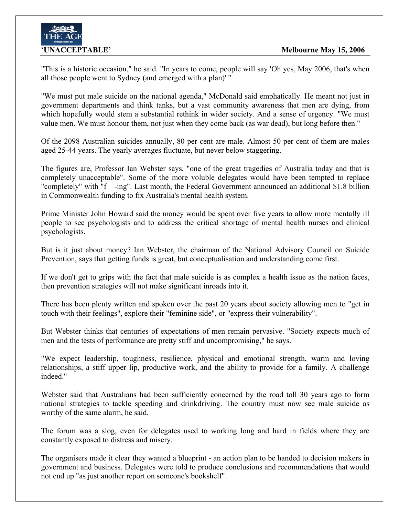

"This is a historic occasion," he said. "In years to come, people will say 'Oh yes, May 2006, that's when all those people went to Sydney (and emerged with a plan)'."

"We must put male suicide on the national agenda," McDonald said emphatically. He meant not just in government departments and think tanks, but a vast community awareness that men are dying, from which hopefully would stem a substantial rethink in wider society. And a sense of urgency. "We must value men. We must honour them, not just when they come back (as war dead), but long before then."

Of the 2098 Australian suicides annually, 80 per cent are male. Almost 50 per cent of them are males aged 25-44 years. The yearly averages fluctuate, but never below staggering.

The figures are, Professor Ian Webster says, "one of the great tragedies of Australia today and that is completely unacceptable". Some of the more voluble delegates would have been tempted to replace "completely" with "f—-ing". Last month, the Federal Government announced an additional \$1.8 billion in Commonwealth funding to fix Australia's mental health system.

Prime Minister John Howard said the money would be spent over five years to allow more mentally ill people to see psychologists and to address the critical shortage of mental health nurses and clinical psychologists.

But is it just about money? Ian Webster, the chairman of the National Advisory Council on Suicide Prevention, says that getting funds is great, but conceptualisation and understanding come first.

If we don't get to grips with the fact that male suicide is as complex a health issue as the nation faces, then prevention strategies will not make significant inroads into it.

There has been plenty written and spoken over the past 20 years about society allowing men to "get in touch with their feelings", explore their "feminine side", or "express their vulnerability".

But Webster thinks that centuries of expectations of men remain pervasive. "Society expects much of men and the tests of performance are pretty stiff and uncompromising," he says.

"We expect leadership, toughness, resilience, physical and emotional strength, warm and loving relationships, a stiff upper lip, productive work, and the ability to provide for a family. A challenge indeed."

Webster said that Australians had been sufficiently concerned by the road toll 30 years ago to form national strategies to tackle speeding and drinkdriving. The country must now see male suicide as worthy of the same alarm, he said.

The forum was a slog, even for delegates used to working long and hard in fields where they are constantly exposed to distress and misery.

The organisers made it clear they wanted a blueprint - an action plan to be handed to decision makers in government and business. Delegates were told to produce conclusions and recommendations that would not end up "as just another report on someone's bookshelf".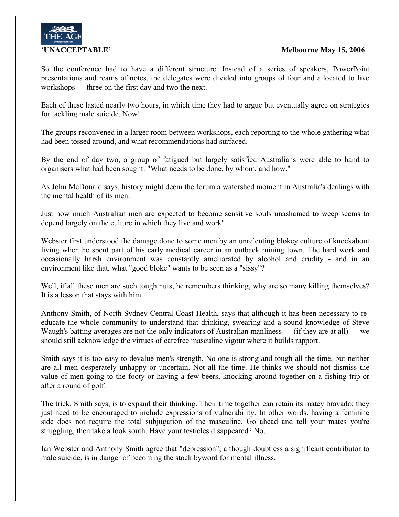

So the conference had to have a different structure. Instead of a series of speakers, PowerPoint presentations and reams of notes, the delegates were divided into groups of four and allocated to five workshops — three on the first day and two the next.

Each of these lasted nearly two hours, in which time they had to argue but eventually agree on strategies for tackling male suicide. Now!

The groups reconvened in a larger room between workshops, each reporting to the whole gathering what had been tossed around, and what recommendations had surfaced.

By the end of day two, a group of fatigued but largely satisfied Australians were able to hand to organisers what had been sought: "What needs to be done, by whom, and how."

As John McDonald says, history might deem the forum a watershed moment in Australia's dealings with the mental health of its men.

Just how much Australian men are expected to become sensitive souls unashamed to weep seems to depend largely on the culture in which they live and work".

Webster first understood the damage done to some men by an unrelenting blokey culture of knockabout living when he spent part of his early medical career in an outback mining town. The hard work and occasionally harsh environment was constantly ameliorated by alcohol and crudity - and in an environment like that, what "good bloke" wants to be seen as a "sissy"?

Well, if all these men are such tough nuts, he remembers thinking, why are so many killing themselves? It is a lesson that stays with him.

Anthony Smith, of North Sydney Central Coast Health, says that although it has been necessary to reeducate the whole community to understand that drinking, swearing and a sound knowledge of Steve Waugh's batting averages are not the only indicators of Australian manliness — (if they are at all) — we should still acknowledge the virtues of carefree masculine vigour where it builds rapport.

Smith says it is too easy to devalue men's strength. No one is strong and tough all the time, but neither are all men desperately unhappy or uncertain. Not all the time. He thinks we should not dismiss the value of men going to the footy or having a few beers, knocking around together on a fishing trip or after a round of golf.

The trick, Smith says, is to expand their thinking. Their time together can retain its matey bravado; they just need to be encouraged to include expressions of vulnerability. In other words, having a feminine side does not require the total subjugation of the masculine. Go ahead and tell your mates you're struggling, then take a look south. Have your testicles disappeared? No.

Ian Webster and Anthony Smith agree that "depression", although doubtless a significant contributor to male suicide, is in danger of becoming the stock byword for mental illness.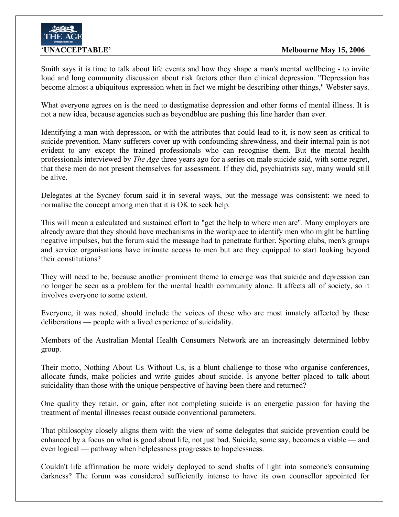

Smith says it is time to talk about life events and how they shape a man's mental wellbeing - to invite loud and long community discussion about risk factors other than clinical depression. "Depression has become almost a ubiquitous expression when in fact we might be describing other things," Webster says.

What everyone agrees on is the need to destigmatise depression and other forms of mental illness. It is not a new idea, because agencies such as beyondblue are pushing this line harder than ever.

Identifying a man with depression, or with the attributes that could lead to it, is now seen as critical to suicide prevention. Many sufferers cover up with confounding shrewdness, and their internal pain is not evident to any except the trained professionals who can recognise them. But the mental health professionals interviewed by *The Age* three years ago for a series on male suicide said, with some regret, that these men do not present themselves for assessment. If they did, psychiatrists say, many would still be alive.

Delegates at the Sydney forum said it in several ways, but the message was consistent: we need to normalise the concept among men that it is OK to seek help.

This will mean a calculated and sustained effort to "get the help to where men are". Many employers are already aware that they should have mechanisms in the workplace to identify men who might be battling negative impulses, but the forum said the message had to penetrate further. Sporting clubs, men's groups and service organisations have intimate access to men but are they equipped to start looking beyond their constitutions?

They will need to be, because another prominent theme to emerge was that suicide and depression can no longer be seen as a problem for the mental health community alone. It affects all of society, so it involves everyone to some extent.

Everyone, it was noted, should include the voices of those who are most innately affected by these deliberations — people with a lived experience of suicidality.

Members of the Australian Mental Health Consumers Network are an increasingly determined lobby group.

Their motto, Nothing About Us Without Us, is a blunt challenge to those who organise conferences, allocate funds, make policies and write guides about suicide. Is anyone better placed to talk about suicidality than those with the unique perspective of having been there and returned?

One quality they retain, or gain, after not completing suicide is an energetic passion for having the treatment of mental illnesses recast outside conventional parameters.

That philosophy closely aligns them with the view of some delegates that suicide prevention could be enhanced by a focus on what is good about life, not just bad. Suicide, some say, becomes a viable — and even logical — pathway when helplessness progresses to hopelessness.

Couldn't life affirmation be more widely deployed to send shafts of light into someone's consuming darkness? The forum was considered sufficiently intense to have its own counsellor appointed for